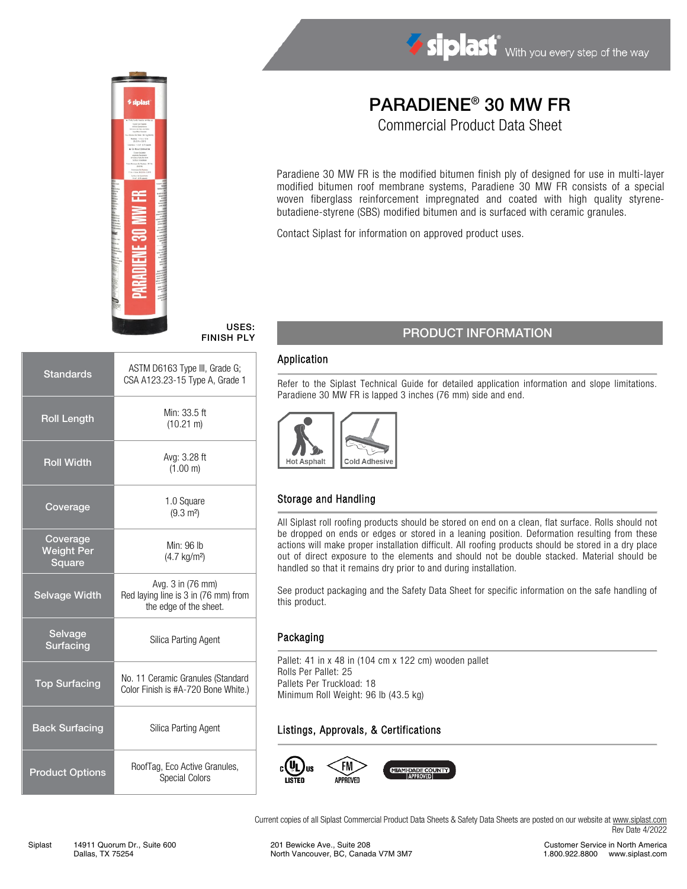

# PARADIENE® 30 MW FR

Siplast With you every step of the way

Commercial Product Data Sheet

Paradiene 30 MW FR is the modified bitumen finish ply of designed for use in multi-layer modified bitumen roof membrane systems, Paradiene 30 MW FR consists of a special woven fiberglass reinforcement impregnated and coated with high quality styrenebutadiene-styrene (SBS) modified bitumen and is surfaced with ceramic granules.

Contact Siplast for information on approved product uses.

#### USES: FINISH PLY

| <b>Standards</b>                        | ASTM D6163 Type III, Grade G;<br>CSA A123.23-15 Type A, Grade 1                     |  |
|-----------------------------------------|-------------------------------------------------------------------------------------|--|
| <b>Roll Length</b>                      | Min: 33.5 ft<br>$(10.21 \text{ m})$                                                 |  |
| <b>Roll Width</b>                       | Avg: 3.28 ft<br>(1.00 m)                                                            |  |
| Coverage                                | 1.0 Square<br>$(9.3 \text{ m}^2)$                                                   |  |
| Coverage<br><b>Weight Per</b><br>Square | Min: 96 lb<br>$(4.7 \text{ kg/m}^2)$                                                |  |
| <b>Selvage Width</b>                    | Avg. 3 in (76 mm)<br>Red laying line is 3 in (76 mm) from<br>the edge of the sheet. |  |
| Selvage<br><b>Surfacing</b>             | Silica Parting Agent                                                                |  |
| <b>Top Surfacing</b>                    | No. 11 Ceramic Granules (Standard<br>Color Finish is #A-720 Bone White.)            |  |
| <b>Back Surfacing</b>                   | Silica Parting Agent                                                                |  |
| <b>Product Options</b>                  | RoofTag, Eco Active Granules,<br><b>Special Colors</b>                              |  |

# PRODUCT INFORMATION

#### Application

Refer to the Siplast Technical Guide for detailed application information and slope limitations. Paradiene 30 MW FR is lapped 3 inches (76 mm) side and end.



# Storage and Handling

All Siplast roll roofing products should be stored on end on a clean, flat surface. Rolls should not be dropped on ends or edges or stored in a leaning position. Deformation resulting from these actions will make proper installation difficult. All roofing products should be stored in a dry place out of direct exposure to the elements and should not be double stacked. Material should be handled so that it remains dry prior to and during installation.

See product packaging and the Safety Data Sheet for specific information on the safe handling of this product.

#### Packaging

Pallet: 41 in x 48 in (104 cm x 122 cm) wooden pallet Rolls Per Pallet: 25 Pallets Per Truckload: 18 Minimum Roll Weight: 96 lb (43.5 kg)

#### Listings, Approvals, & Certifications



Current copies of all Siplast Commercial Product Data Sheets & Safety Data Sheets are posted on our website a[t www.siplast.com](http://www.siplast.com/) Rev Date 4/2022

Customer Service in North America 1.800.922.8800 www.siplast.com